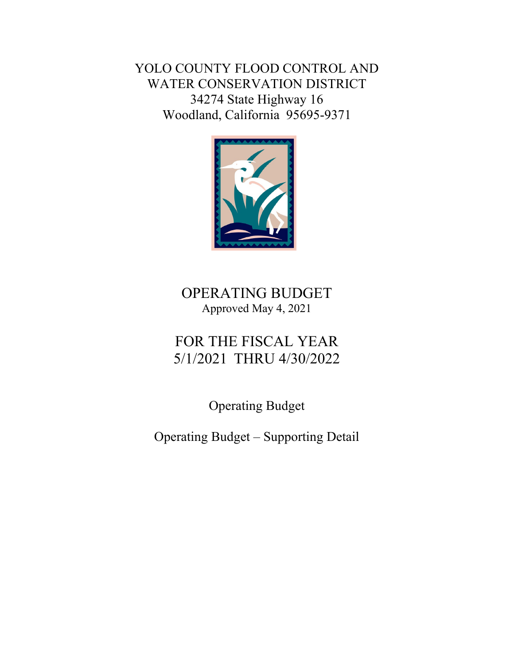YOLO COUNTY FLOOD CONTROL AND WATER CONSERVATION DISTRICT 34274 State Highway 16 Woodland, California 95695-9371



## OPERATING BUDGET Approved May 4, 2021

# FOR THE FISCAL YEAR 5/1/2021 THRU 4/30/2022

Operating Budget

Operating Budget – Supporting Detail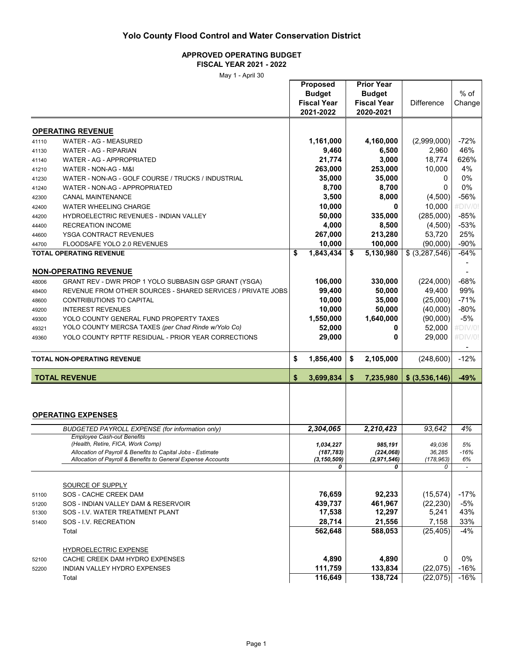#### **APPROVED OPERATING BUDGET FISCAL YEAR 2021 - 2022**

|       |                                                                                             | <b>Proposed</b><br><b>Budget</b><br><b>Fiscal Year</b><br>2021-2022 | <b>Prior Year</b><br><b>Budget</b><br><b>Fiscal Year</b><br>2020-2021 | <b>Difference</b> | $%$ of<br>Change |
|-------|---------------------------------------------------------------------------------------------|---------------------------------------------------------------------|-----------------------------------------------------------------------|-------------------|------------------|
|       | <b>OPERATING REVENUE</b>                                                                    |                                                                     |                                                                       |                   |                  |
| 41110 | WATER - AG - MEASURED                                                                       | 1,161,000                                                           | 4,160,000                                                             | (2,999,000)       | $-72%$           |
| 41130 | WATER - AG - RIPARIAN                                                                       | 9,460                                                               | 6,500                                                                 | 2,960             | 46%              |
| 41140 | WATER - AG - APPROPRIATED                                                                   | 21,774                                                              | 3,000                                                                 | 18,774            | 626%             |
| 41210 | WATER - NON-AG - M&I                                                                        | 263,000                                                             | 253,000                                                               | 10,000            | 4%               |
| 41230 | WATER - NON-AG - GOLF COURSE / TRUCKS / INDUSTRIAL                                          | 35,000                                                              | 35,000                                                                | 0                 | 0%               |
| 41240 | WATER - NON-AG - APPROPRIATED                                                               | 8,700                                                               | 8,700                                                                 | 0                 | 0%               |
| 42300 | <b>CANAL MAINTENANCE</b>                                                                    | 3,500                                                               | 8,000                                                                 | (4,500)           | -56%             |
| 42400 | <b>WATER WHEELING CHARGE</b>                                                                | 10,000                                                              | 0                                                                     | 10,000            | #DIV/0           |
| 44200 | HYDROELECTRIC REVENUES - INDIAN VALLEY                                                      | 50,000                                                              | 335,000                                                               | (285,000)         | $-85%$           |
| 44400 | <b>RECREATION INCOME</b>                                                                    | 4,000                                                               | 8,500                                                                 | (4,500)           | $-53%$           |
| 44600 | YSGA CONTRACT REVENUES                                                                      | 267,000                                                             | 213,280                                                               | 53,720            | 25%              |
| 44700 | FLOODSAFE YOLO 2.0 REVENUES                                                                 | 10,000                                                              | 100,000                                                               | (90,000)          | $-90%$           |
|       | <b>TOTAL OPERATING REVENUE</b>                                                              | \$<br>1,843,434                                                     | \$<br>5,130,980                                                       | \$ (3,287,546)    | $-64%$           |
|       | <b>NON-OPERATING REVENUE</b>                                                                |                                                                     |                                                                       |                   |                  |
| 48006 | GRANT REV - DWR PROP 1 YOLO SUBBASIN GSP GRANT (YSGA)                                       | 106,000                                                             | 330,000                                                               | (224,000)         | $-68%$           |
| 48400 | REVENUE FROM OTHER SOURCES - SHARED SERVICES / PRIVATE JOBS                                 | 99,400                                                              | 50,000                                                                | 49,400            | 99%              |
| 48600 | CONTRIBUTIONS TO CAPITAL                                                                    | 10,000                                                              | 35,000                                                                | (25,000)          | $-71%$           |
| 49200 | <b>INTEREST REVENUES</b>                                                                    | 10,000                                                              | 50,000                                                                | (40,000)          | $-80\%$          |
| 49300 | YOLO COUNTY GENERAL FUND PROPERTY TAXES                                                     | 1,550,000                                                           | 1,640,000                                                             | (90,000)          | $-5%$            |
| 49321 | YOLO COUNTY MERCSA TAXES (per Chad Rinde w/Yolo Co)                                         | 52,000                                                              | 0                                                                     | 52,000            | #DIV/0!          |
| 49360 | YOLO COUNTY RPTTF RESIDUAL - PRIOR YEAR CORRECTIONS                                         | 29,000                                                              | 0                                                                     | 29,000            | #DIV/0!          |
|       |                                                                                             |                                                                     |                                                                       |                   | $\blacksquare$   |
|       | <b>TOTAL NON-OPERATING REVENUE</b>                                                          | \$<br>1,856,400                                                     | \$<br>2,105,000                                                       | (248, 600)        | $-12%$           |
|       | <b>TOTAL REVENUE</b>                                                                        | \$<br>3,699,834                                                     | \$<br>7,235,980                                                       | \$ (3,536,146)    | -49%             |
|       | <b>OPERATING EXPENSES</b>                                                                   |                                                                     |                                                                       | 93,642            | 4%               |
|       | <b>BUDGETED PAYROLL EXPENSE (for information only)</b><br><b>Employee Cash-out Benefits</b> | 2,304,065                                                           | 2,210,423                                                             |                   |                  |
|       | (Health, Retire, FICA, Work Comp)                                                           | 1,034,227                                                           | 985,191                                                               | 49,036            | 5%               |
|       | Allocation of Payroll & Benefits to Capital Jobs - Estimate                                 | (187, 783)                                                          | (224, 068)                                                            | 36,285            | $-16%$           |
|       | Allocation of Payroll & Benefits to General Expense Accounts                                | (3, 150, 509)                                                       | (2, 971, 546)                                                         | (178, 963)<br>0   | 6%               |
|       |                                                                                             | 0                                                                   | 0                                                                     |                   |                  |
|       | SOURCE OF SUPPLY                                                                            |                                                                     |                                                                       |                   |                  |
| 51100 | SOS - CACHE CREEK DAM                                                                       | 76,659                                                              | 92,233                                                                | (15, 574)         | $-17%$           |
| 51200 | SOS - INDIAN VALLEY DAM & RESERVOIR                                                         | 439,737                                                             | 461,967                                                               | (22, 230)         | $-5%$            |
| 51300 | SOS - I.V. WATER TREATMENT PLANT                                                            | 17,538                                                              | 12,297                                                                | 5,241             | 43%              |
| 51400 | SOS - I.V. RECREATION                                                                       | 28,714                                                              | 21,556                                                                | 7,158             | 33%              |
|       | Total                                                                                       | 562,648                                                             | 588,053                                                               | (25, 405)         | $-4%$            |
|       |                                                                                             |                                                                     |                                                                       |                   |                  |
|       | HYDROELECTRIC EXPENSE                                                                       |                                                                     |                                                                       |                   |                  |
| 52100 | CACHE CREEK DAM HYDRO EXPENSES                                                              | 4,890                                                               | 4,890                                                                 | 0                 | 0%               |
| 52200 | INDIAN VALLEY HYDRO EXPENSES                                                                | 111,759                                                             | 133,834                                                               | (22, 075)         | $-16%$           |
|       | Total                                                                                       | 116,649                                                             | 138,724                                                               | (22,075)          | $-16%$           |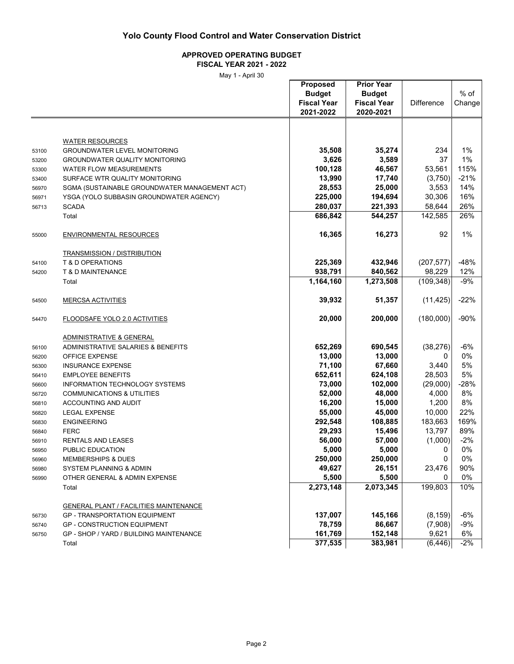### **APPROVED OPERATING BUDGET**

**FISCAL YEAR 2021 - 2022**

|       |                                               | <b>Proposed</b><br><b>Budget</b><br><b>Fiscal Year</b><br>2021-2022 | <b>Prior Year</b><br><b>Budget</b><br><b>Fiscal Year</b><br>2020-2021 | <b>Difference</b> | $%$ of<br>Change |
|-------|-----------------------------------------------|---------------------------------------------------------------------|-----------------------------------------------------------------------|-------------------|------------------|
|       |                                               |                                                                     |                                                                       |                   |                  |
|       | <b>WATER RESOURCES</b>                        |                                                                     |                                                                       |                   |                  |
| 53100 | <b>GROUNDWATER LEVEL MONITORING</b>           | 35,508                                                              | 35,274                                                                | 234               | 1%               |
| 53200 | <b>GROUNDWATER QUALITY MONITORING</b>         | 3,626                                                               | 3,589                                                                 | 37                | 1%               |
| 53300 | <b>WATER FLOW MEASUREMENTS</b>                | 100,128                                                             | 46,567                                                                | 53,561            | 115%             |
| 53400 | SURFACE WTR QUALITY MONITORING                | 13,990                                                              | 17,740                                                                | (3,750)           | $-21%$           |
| 56970 | SGMA (SUSTAINABLE GROUNDWATER MANAGEMENT ACT) | 28,553                                                              | 25,000                                                                | 3,553             | 14%              |
| 56971 | YSGA (YOLO SUBBASIN GROUNDWATER AGENCY)       | 225,000                                                             | 194,694                                                               | 30,306            | 16%              |
| 56713 | <b>SCADA</b>                                  | 280,037                                                             | 221,393                                                               | 58,644            | 26%              |
|       | Total                                         | 686,842                                                             | 544,257                                                               | 142,585           | 26%              |
| 55000 | <b>ENVIRONMENTAL RESOURCES</b>                | 16,365                                                              | 16,273                                                                | 92                | 1%               |
|       | <b>TRANSMISSION / DISTRIBUTION</b>            |                                                                     |                                                                       |                   |                  |
| 54100 | <b>T &amp; D OPERATIONS</b>                   | 225,369                                                             | 432,946                                                               | (207, 577)        | $-48%$           |
| 54200 | T & D MAINTENANCE                             | 938,791                                                             | 840,562                                                               | 98,229            | 12%              |
|       | Total                                         | 1,164,160                                                           | 1,273,508                                                             | (109, 348)        | $-9%$            |
| 54500 | <b>MERCSA ACTIVITIES</b>                      | 39,932                                                              | 51,357                                                                | (11, 425)         | $-22%$           |
| 54470 | FLOODSAFE YOLO 2.0 ACTIVITIES                 | 20,000                                                              | 200,000                                                               | (180,000)         | $-90%$           |
|       | ADMINISTRATIVE & GENERAL                      |                                                                     |                                                                       |                   |                  |
| 56100 | ADMINISTRATIVE SALARIES & BENEFITS            | 652,269                                                             | 690,545                                                               | (38, 276)         | -6%              |
| 56200 | OFFICE EXPENSE                                | 13,000                                                              | 13,000                                                                | 0                 | 0%               |
| 56300 | <b>INSURANCE EXPENSE</b>                      | 71,100                                                              | 67,660                                                                | 3,440             | 5%               |
| 56410 | <b>EMPLOYEE BENEFITS</b>                      | 652,611                                                             | 624,108                                                               | 28,503            | 5%               |
| 56600 | <b>INFORMATION TECHNOLOGY SYSTEMS</b>         | 73,000                                                              | 102,000                                                               | (29,000)          | $-28%$           |
| 56720 | <b>COMMUNICATIONS &amp; UTILITIES</b>         | 52,000                                                              | 48,000                                                                | 4,000             | 8%               |
| 56810 | ACCOUNTING AND AUDIT                          | 16,200                                                              | 15,000                                                                | 1,200             | 8%               |
| 56820 | <b>LEGAL EXPENSE</b>                          | 55,000                                                              | 45,000                                                                | 10,000            | 22%              |
| 56830 | <b>ENGINEERING</b>                            | 292,548                                                             | 108,885                                                               | 183,663           | 169%             |
| 56840 | <b>FERC</b>                                   | 29,293                                                              | 15,496                                                                | 13,797            | 89%              |
| 56910 | RENTALS AND LEASES                            | 56,000                                                              | 57,000                                                                | (1,000)           | $-2%$            |
| 56950 | PUBLIC EDUCATION                              | 5,000                                                               | 5,000                                                                 | 0                 | 0%               |
| 56960 | <b>MEMBERSHIPS &amp; DUES</b>                 | 250,000                                                             | 250,000                                                               | 0                 | 0%               |
| 56980 | SYSTEM PLANNING & ADMIN                       | 49,627                                                              | 26,151                                                                | 23,476            | 90%              |
| 56990 | OTHER GENERAL & ADMIN EXPENSE                 | 5,500                                                               | 5,500                                                                 | 0                 | 0%               |
|       | Total                                         | 2,273,148                                                           | 2,073,345                                                             | 199,803           | 10%              |
|       | <b>GENERAL PLANT / FACILITIES MAINTENANCE</b> |                                                                     |                                                                       |                   |                  |
| 56730 | <b>GP - TRANSPORTATION EQUIPMENT</b>          | 137,007                                                             | 145,166                                                               | (8, 159)          | $-6%$            |
| 56740 | <b>GP - CONSTRUCTION EQUIPMENT</b>            | 78,759                                                              | 86,667                                                                | (7,908)           | $-9%$            |
| 56750 | GP - SHOP / YARD / BUILDING MAINTENANCE       | 161,769                                                             | 152,148                                                               | 9,621             | 6%               |
|       | Total                                         | 377,535                                                             | 383,981                                                               | (6, 446)          | $-2%$            |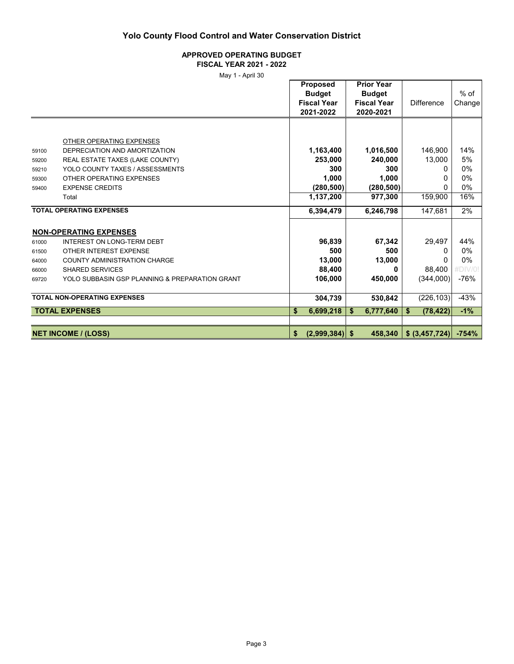#### **APPROVED OPERATING BUDGET FISCAL YEAR 2021 - 2022**

|       | ט טווערז דוועוו                                |                    |    |                    |                   |         |
|-------|------------------------------------------------|--------------------|----|--------------------|-------------------|---------|
|       |                                                | <b>Proposed</b>    |    | <b>Prior Year</b>  |                   |         |
|       |                                                | <b>Budget</b>      |    | <b>Budget</b>      |                   | $%$ of  |
|       |                                                | <b>Fiscal Year</b> |    | <b>Fiscal Year</b> | <b>Difference</b> | Change  |
|       |                                                | 2021-2022          |    | 2020-2021          |                   |         |
|       |                                                |                    |    |                    |                   |         |
|       |                                                |                    |    |                    |                   |         |
|       | OTHER OPERATING EXPENSES                       |                    |    |                    |                   |         |
| 59100 | DEPRECIATION AND AMORTIZATION                  | 1,163,400          |    | 1,016,500          | 146,900           | 14%     |
| 59200 | REAL ESTATE TAXES (LAKE COUNTY)                | 253,000            |    | 240,000            | 13,000            | 5%      |
| 59210 | YOLO COUNTY TAXES / ASSESSMENTS                | 300                |    | 300                | 0                 | 0%      |
| 59300 | OTHER OPERATING EXPENSES                       | 1,000              |    | 1,000              | 0                 | 0%      |
| 59400 | <b>EXPENSE CREDITS</b>                         | (280, 500)         |    | (280, 500)         | <sup>0</sup>      | 0%      |
|       | Total                                          | 1,137,200          |    | 977,300            | 159,900           | 16%     |
|       | <b>TOTAL OPERATING EXPENSES</b>                | 6,394,479          |    | 6,246,798          | 147,681           | 2%      |
|       | <b>NON-OPERATING EXPENSES</b>                  |                    |    |                    |                   |         |
| 61000 | <b>INTEREST ON LONG-TERM DEBT</b>              | 96,839             |    | 67,342             | 29,497            | 44%     |
| 61500 | OTHER INTEREST EXPENSE                         | 500                |    | 500                | 0                 | 0%      |
| 64000 | <b>COUNTY ADMINISTRATION CHARGE</b>            | 13,000             |    | 13,000             | 0                 | $0\%$   |
| 66000 | <b>SHARED SERVICES</b>                         | 88,400             |    | n                  | 88,400            | #DIV/0! |
| 69720 | YOLO SUBBASIN GSP PLANNING & PREPARATION GRANT | 106,000            |    | 450,000            | (344,000)         | $-76%$  |
|       |                                                |                    |    |                    |                   |         |
|       | <b>TOTAL NON-OPERATING EXPENSES</b>            | 304,739            |    | 530,842            | (226, 103)        | $-43%$  |
|       | <b>TOTAL EXPENSES</b>                          | \$<br>6,699,218    | S  | 6,777,640          | \$<br>(78, 422)   | $-1%$   |
|       |                                                |                    |    |                    |                   |         |
|       | <b>NET INCOME / (LOSS)</b>                     | \$<br>(2,999,384)  | -S | 458,340            | \$ (3,457,724)    | $-754%$ |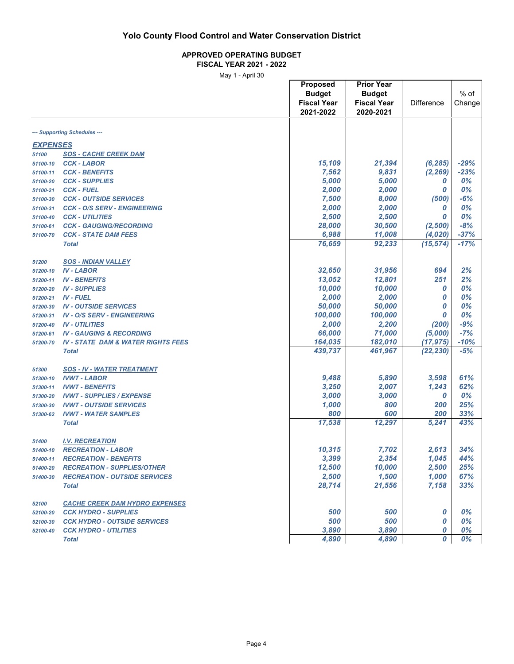#### **APPROVED OPERATING BUDGET FISCAL YEAR 2021 - 2022**

|                          | iviay i - Aprii Ju                            | <b>Proposed</b><br><b>Budget</b><br><b>Fiscal Year</b><br>2021-2022 | <b>Prior Year</b><br><b>Budget</b><br><b>Fiscal Year</b><br>2020-2021 | <b>Difference</b> | $%$ of<br>Change |
|--------------------------|-----------------------------------------------|---------------------------------------------------------------------|-----------------------------------------------------------------------|-------------------|------------------|
|                          | --- Supporting Schedules ---                  |                                                                     |                                                                       |                   |                  |
|                          |                                               |                                                                     |                                                                       |                   |                  |
| <b>EXPENSES</b><br>51100 | <b>SOS - CACHE CREEK DAM</b>                  |                                                                     |                                                                       |                   |                  |
|                          | <b>CCK - LABOR</b>                            | 15,109                                                              | 21,394                                                                | (6, 285)          | $-29%$           |
| 51100-10<br>51100-11     | <b>CCK - BENEFITS</b>                         | 7,562                                                               | 9,831                                                                 | (2, 269)          | $-23%$           |
| 51100-20                 | <b>CCK - SUPPLIES</b>                         | 5,000                                                               | 5,000                                                                 | 0                 | $0\%$            |
| 51100-21                 | <b>CCK - FUEL</b>                             | 2,000                                                               | 2,000                                                                 | 0                 | $0\%$            |
| 51100-30                 | <b>CCK - OUTSIDE SERVICES</b>                 | 7,500                                                               | 8,000                                                                 | (500)             | $-6%$            |
| 51100-31                 | <b>CCK - O/S SERV - ENGINEERING</b>           | 2,000                                                               | 2,000                                                                 | 0                 | 0%               |
| 51100-40                 | <b>CCK - UTILITIES</b>                        | 2,500                                                               | 2,500                                                                 | 0                 | 0%               |
| 51100-61                 | <b>CCK - GAUGING/RECORDING</b>                | 28,000                                                              | 30,500                                                                | (2,500)           | $-8%$            |
| 51100-70                 | <b>CCK - STATE DAM FEES</b>                   | 6,988                                                               | 11,008                                                                | (4,020)           | $-37%$           |
|                          | <b>Total</b>                                  | 76,659                                                              | 92,233                                                                | (15, 574)         | $-17%$           |
|                          |                                               |                                                                     |                                                                       |                   |                  |
| 51200                    | <b>SOS - INDIAN VALLEY</b>                    |                                                                     |                                                                       |                   |                  |
| 51200-10                 | <b>IV-LABOR</b>                               | 32,650                                                              | 31,956                                                                | 694               | 2%               |
| 51200-11                 | <b>IV - BENEFITS</b>                          | 13,052                                                              | 12,801                                                                | 251               | 2%               |
| 51200-20                 | <b>IV - SUPPLIES</b>                          | 10,000                                                              | 10,000                                                                | 0                 | 0%               |
| 51200-21                 | <b>IV - FUEL</b>                              | 2,000                                                               | 2,000                                                                 | 0                 | 0%               |
| 51200-30                 | <b>IV - OUTSIDE SERVICES</b>                  | 50,000                                                              | 50,000                                                                | 0                 | 0%               |
| 51200-31                 | <b>IV - O/S SERV - ENGINEERING</b>            | 100,000                                                             | 100,000                                                               | 0                 | 0%               |
| 51200-40                 | <b>IV - UTILITIES</b>                         | 2,000                                                               | 2,200                                                                 | (200)             | $-9%$            |
| 51200-61                 | <b>IV - GAUGING &amp; RECORDING</b>           | 66,000                                                              | 71,000                                                                | (5,000)           | $-7%$            |
| 51200-70                 | <b>IV - STATE DAM &amp; WATER RIGHTS FEES</b> | 164,035                                                             | 182,010                                                               | (17, 975)         | $-10%$           |
|                          | <b>Total</b>                                  | 439,737                                                             | 461,967                                                               | (22, 230)         | $-5%$            |
| 51300                    | <b>SOS - IV - WATER TREATMENT</b>             |                                                                     |                                                                       |                   |                  |
| 51300-10                 | <b>IVWT - LABOR</b>                           | 9,488                                                               | 5,890                                                                 | 3,598             | 61%              |
| 51300-11                 | <b>IVWT - BENEFITS</b>                        | 3,250                                                               | 2,007                                                                 | 1,243             | 62%              |
| 51300-20                 | <b>IVWT - SUPPLIES / EXPENSE</b>              | 3,000                                                               | 3,000                                                                 | 0                 | 0%               |
| 51300-30                 | <b>IVWT - OUTSIDE SERVICES</b>                | 1,000                                                               | 800                                                                   | 200               | 25%              |
| 51300-62                 | <b>IVWT - WATER SAMPLES</b>                   | 800                                                                 | 600                                                                   | 200               | 33%              |
|                          | <b>Total</b>                                  | 17,538                                                              | 12,297                                                                | 5,241             | 43%              |
| 51400                    | <b>I.V. RECREATION</b>                        |                                                                     |                                                                       |                   |                  |
| 51400-10                 | <b>RECREATION - LABOR</b>                     | 10,315                                                              | 7,702                                                                 | 2,613             | 34%              |
| 51400-11                 | <b>RECREATION - BENEFITS</b>                  | 3,399                                                               | 2,354                                                                 | 1,045             | 44%              |
| 51400-20                 | <b>RECREATION - SUPPLIES/OTHER</b>            | 12,500                                                              | 10,000                                                                | 2,500             | 25%              |
| 51400-30                 | <b>RECREATION - OUTSIDE SERVICES</b>          | 2,500                                                               | 1,500                                                                 | 1,000             | 67%              |
|                          | <b>Total</b>                                  | 28,714                                                              | 21,556                                                                | 7,158             | 33%              |
|                          |                                               |                                                                     |                                                                       |                   |                  |
| 52100                    | <b>CACHE CREEK DAM HYDRO EXPENSES</b>         |                                                                     |                                                                       |                   |                  |
| 52100-20                 | <b>CCK HYDRO - SUPPLIES</b>                   | 500                                                                 | 500                                                                   | 0                 | 0%               |
| 52100-30                 | <b>CCK HYDRO - OUTSIDE SERVICES</b>           | 500                                                                 | 500                                                                   | 0                 | 0%               |
| 52100-40                 | <b>CCK HYDRO - UTILITIES</b>                  | 3,890                                                               | 3,890                                                                 | 0                 | 0%               |
|                          | <b>Total</b>                                  | 4,890                                                               | 4,890                                                                 | 0                 | 0%               |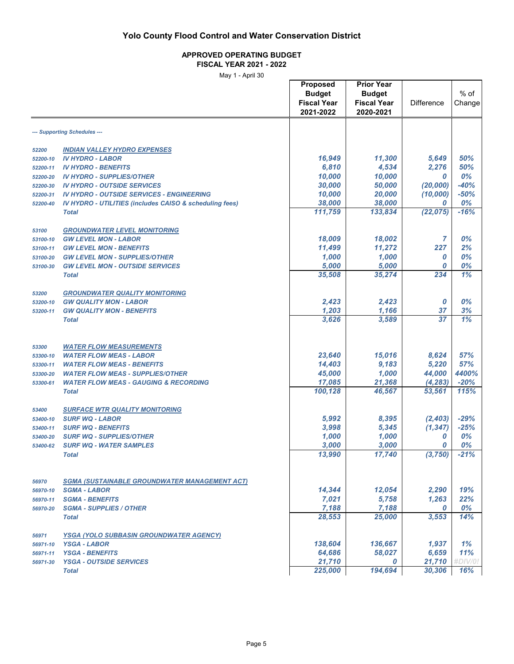### **APPROVED OPERATING BUDGET**

**FISCAL YEAR 2021 - 2022**

May 1 - April 30

|          |                                                                             | Proposed           | <b>Prior Year</b>  |                   |         |  |
|----------|-----------------------------------------------------------------------------|--------------------|--------------------|-------------------|---------|--|
|          |                                                                             | <b>Budget</b>      | <b>Budget</b>      |                   | $%$ of  |  |
|          |                                                                             | <b>Fiscal Year</b> | <b>Fiscal Year</b> | <b>Difference</b> | Change  |  |
|          |                                                                             | 2021-2022          | 2020-2021          |                   |         |  |
|          | --- Supporting Schedules ---                                                |                    |                    |                   |         |  |
| 52200    | <b>INDIAN VALLEY HYDRO EXPENSES</b>                                         |                    |                    |                   |         |  |
| 52200-10 | <b>IV HYDRO - LABOR</b>                                                     | 16,949             | 11,300             | 5,649             | 50%     |  |
| 52200-11 | <b>IV HYDRO - BENEFITS</b>                                                  | 6,810              | 4,534              | 2,276             | 50%     |  |
| 52200-20 | <b>IV HYDRO - SUPPLIES/OTHER</b>                                            | 10,000             | 10,000             | 0                 | 0%      |  |
| 52200-30 | <b>IV HYDRO - OUTSIDE SERVICES</b>                                          | 30,000             | 50,000             | (20,000)          | $-40%$  |  |
| 52200-31 | <b>IV HYDRO - OUTSIDE SERVICES - ENGINEERING</b>                            | 10,000             | 20,000             | (10,000)          | $-50%$  |  |
| 52200-40 | <b>IV HYDRO - UTILITIES (includes CAISO &amp; scheduling fees)</b>          | 38,000             | 38,000             | 0                 | 0%      |  |
|          | <b>Total</b>                                                                | 111,759            | 133,834            | (22, 075)         | $-16%$  |  |
|          |                                                                             |                    |                    |                   |         |  |
| 53100    | <b>GROUNDWATER LEVEL MONITORING</b>                                         |                    |                    |                   |         |  |
| 53100-10 | <b>GW LEVEL MON - LABOR</b>                                                 | 18,009             | 18,002             | 7                 | 0%      |  |
| 53100-11 | <b>GW LEVEL MON - BENEFITS</b>                                              | 11,499             | 11,272             | 227               | 2%      |  |
| 53100-20 | <b>GW LEVEL MON - SUPPLIES/OTHER</b>                                        | 1,000              | 1,000              | 0                 | 0%      |  |
| 53100-30 | <b>GW LEVEL MON - OUTSIDE SERVICES</b>                                      | 5,000              | 5,000              | 0                 | 0%      |  |
|          | <b>Total</b>                                                                | 35,508             | 35,274             | 234               | 1%      |  |
| 53200    | <b>GROUNDWATER QUALITY MONITORING</b>                                       |                    |                    |                   |         |  |
| 53200-10 | <b>GW QUALITY MON - LABOR</b>                                               | 2,423              | 2,423              | 0                 | 0%      |  |
| 53200-11 | <b>GW QUALITY MON - BENEFITS</b>                                            | 1,203              | 1,166              | 37                | 3%      |  |
|          | <b>Total</b>                                                                | 3,626              | 3,589              | 37                | 1%      |  |
|          |                                                                             |                    |                    |                   |         |  |
| 53300    | <b>WATER FLOW MEASUREMENTS</b>                                              |                    |                    |                   |         |  |
| 53300-10 | <b>WATER FLOW MEAS - LABOR</b>                                              | 23,640             | 15,016             | 8,624             | 57%     |  |
| 53300-11 | <b>WATER FLOW MEAS - BENEFITS</b>                                           | 14,403             | 9,183              | 5,220             | 57%     |  |
| 53300-20 | <b>WATER FLOW MEAS - SUPPLIES/OTHER</b>                                     | 45,000             | 1,000              | 44,000            | 4400%   |  |
| 53300-61 | <b>WATER FLOW MEAS - GAUGING &amp; RECORDING</b>                            | 17,085             | 21,368             | (4, 283)          | $-20%$  |  |
|          | <b>Total</b>                                                                | 100,128            | 46,567             | 53,561            | 115%    |  |
|          |                                                                             |                    |                    |                   |         |  |
| 53400    | <b>SURFACE WTR QUALITY MONITORING</b>                                       |                    |                    |                   |         |  |
| 53400-10 | <b>SURF WQ - LABOR</b>                                                      | 5,992              | 8,395              | (2,403)           | $-29%$  |  |
| 53400-11 | <b>SURF WQ - BENEFITS</b>                                                   | 3,998              | 5,345              | (1, 347)          | $-25%$  |  |
| 53400-20 | <b>SURF WQ - SUPPLIES/OTHER</b>                                             | 1,000              | 1,000              | 0                 | 0%      |  |
| 53400-62 | <b>SURF WQ - WATER SAMPLES</b>                                              | 3,000              | 3,000              | 0                 | 0%      |  |
|          | <b>Total</b>                                                                | 13,990             | 17,740             | (3,750)           | $-21%$  |  |
|          |                                                                             |                    |                    |                   |         |  |
| 56970    | <b>SGMA (SUSTAINABLE GROUNDWATER MANAGEMENT ACT)</b><br><b>SGMA - LABOR</b> | 14,344             | 12,054             | 2,290             | 19%     |  |
| 56970-10 | <b>SGMA - BENEFITS</b>                                                      | 7,021              | 5,758              | 1,263             | 22%     |  |
| 56970-11 | <b>SGMA - SUPPLIES / OTHER</b>                                              | 7,188              | 7,188              | 0                 | 0%      |  |
| 56970-20 |                                                                             | 28,553             | 25,000             | 3,553             | 14%     |  |
|          | <b>Total</b>                                                                |                    |                    |                   |         |  |
| 56971    | <b>YSGA (YOLO SUBBASIN GROUNDWATER AGENCY)</b>                              |                    |                    |                   |         |  |
| 56971-10 | <b>YSGA - LABOR</b>                                                         | 138,604            | 136,667            | 1,937             | 1%      |  |
| 56971-11 | <b>YSGA - BENEFITS</b>                                                      | 64,686             | 58,027             | 6,659             | 11%     |  |
| 56971-30 | <b>YSGA - OUTSIDE SERVICES</b>                                              | 21,710             | 0                  | 21,710            | #DIV/0! |  |
|          | <b>Total</b>                                                                | 225,000            | 194,694            | 30,306            | 16%     |  |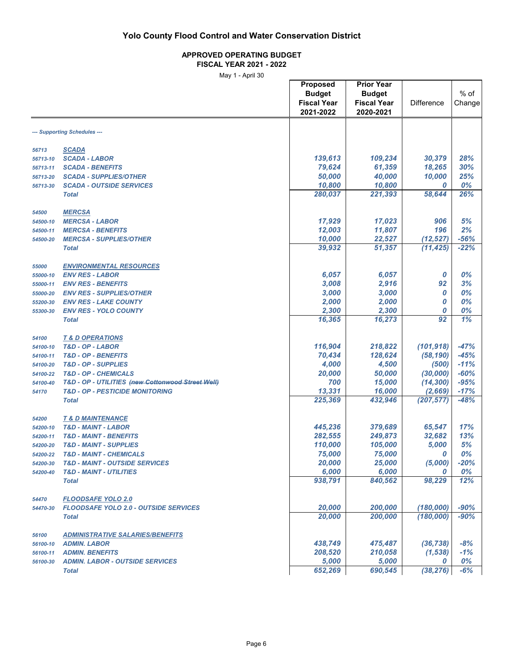### **APPROVED OPERATING BUDGET**

**FISCAL YEAR 2021 - 2022** May 1 - April 30

|          | ividy i - April 30                                |                    |                    |                   |        |
|----------|---------------------------------------------------|--------------------|--------------------|-------------------|--------|
|          |                                                   | Proposed           | <b>Prior Year</b>  |                   |        |
|          |                                                   | <b>Budget</b>      | <b>Budget</b>      |                   | $%$ of |
|          |                                                   | <b>Fiscal Year</b> | <b>Fiscal Year</b> | <b>Difference</b> | Change |
|          |                                                   |                    |                    |                   |        |
|          |                                                   | 2021-2022          | 2020-2021          |                   |        |
|          |                                                   |                    |                    |                   |        |
|          | --- Supporting Schedules ---                      |                    |                    |                   |        |
|          |                                                   |                    |                    |                   |        |
| 56713    | <b>SCADA</b>                                      |                    |                    |                   |        |
| 56713-10 | <b>SCADA - LABOR</b>                              | 139,613            | 109,234            | 30,379            | 28%    |
| 56713-11 | <b>SCADA - BENEFITS</b>                           | 79,624             | 61,359             | 18,265            | 30%    |
| 56713-20 | <b>SCADA - SUPPLIES/OTHER</b>                     | 50,000             | 40,000             | 10,000            | 25%    |
| 56713-30 | <b>SCADA - OUTSIDE SERVICES</b>                   | 10,800             | 10,800             | 0                 | 0%     |
|          | <b>Total</b>                                      | 280,037            | 221,393            | 58,644            | 26%    |
|          |                                                   |                    |                    |                   |        |
| 54500    | <b>MERCSA</b>                                     |                    |                    |                   |        |
| 54500-10 | <b>MERCSA - LABOR</b>                             | 17,929             | 17,023             | 906               | 5%     |
| 54500-11 | <b>MERCSA - BENEFITS</b>                          | 12,003             | 11,807             | 196               | 2%     |
|          |                                                   | 10,000             | 22,527             | (12, 527)         | $-56%$ |
| 54500-20 | <b>MERCSA - SUPPLIES/OTHER</b>                    |                    |                    |                   |        |
|          | <b>Total</b>                                      | 39,932             | 51,357             | (11, 425)         | $-22%$ |
|          |                                                   |                    |                    |                   |        |
| 55000    | <b>ENVIRONMENTAL RESOURCES</b>                    |                    |                    |                   |        |
| 55000-10 | <b>ENV RES - LABOR</b>                            | 6,057              | 6,057              | 0                 | 0%     |
| 55000-11 | <b>ENV RES - BENEFITS</b>                         | 3,008              | 2,916              | 92                | 3%     |
| 55000-20 | <b>ENV RES - SUPPLIES/OTHER</b>                   | 3,000              | 3,000              | 0                 | 0%     |
| 55200-30 | <b>ENV RES - LAKE COUNTY</b>                      | 2,000              | 2,000              | 0                 | 0%     |
| 55300-30 | <b>ENV RES - YOLO COUNTY</b>                      | 2,300              | 2,300              | 0                 | 0%     |
|          | <b>Total</b>                                      | 16,365             | 16,273             | 92                | 1%     |
|          |                                                   |                    |                    |                   |        |
| 54100    | <b>T &amp; D OPERATIONS</b>                       |                    |                    |                   |        |
| 54100-10 | T&D - OP - LABOR                                  | 116,904            | 218,822            | (101, 918)        | $-47%$ |
| 54100-11 | T&D - OP - BENEFITS                               | 70,434             | 128,624            | (58, 190)         | $-45%$ |
| 54100-20 | <b>T&amp;D - OP - SUPPLIES</b>                    | 4,000              | 4,500              | (500)             | $-11%$ |
| 54100-22 | <b>T&amp;D - OP - CHEMICALS</b>                   | 20,000             | 50,000             | (30,000)          | $-60%$ |
| 54100-40 | T&D - OP - UTILITIES (new Cottonwood Street Well) | 700                | 15,000             | (14, 300)         | $-95%$ |
| 54170    | <b>T&amp;D - OP - PESTICIDE MONITORING</b>        | 13,331             | 16,000             | (2,669)           | $-17%$ |
|          | <b>Total</b>                                      | 225,369            | 432,946            | (207, 577)        | $-48%$ |
|          |                                                   |                    |                    |                   |        |
| 54200    | <b>T &amp; D MAINTENANCE</b>                      |                    |                    |                   |        |
| 54200-10 | <b>T&amp;D - MAINT - LABOR</b>                    | 445,236            | 379,689            | 65,547            | 17%    |
| 54200-11 | <b>T&amp;D - MAINT - BENEFITS</b>                 | 282,555            | 249,873            | 32,682            | 13%    |
| 54200-20 | <b>T&amp;D - MAINT - SUPPLIES</b>                 | 110,000            | 105,000            | 5,000             | 5%     |
| 54200-22 | <b>T&amp;D - MAINT - CHEMICALS</b>                | 75,000             | 75,000             | 0                 | 0%     |
| 54200-30 | <b>T&amp;D - MAINT - OUTSIDE SERVICES</b>         | 20,000             | 25,000             | (5,000)           | $-20%$ |
| 54200-40 | <b>T&amp;D - MAINT - UTILITIES</b>                | 6,000              | 6,000              | 0                 | 0%     |
|          | <b>Total</b>                                      | 938,791            | 840,562            | 98,229            | 12%    |
|          |                                                   |                    |                    |                   |        |
| 54470    | <b>FLOODSAFE YOLO 2.0</b>                         |                    |                    |                   |        |
| 54470-30 | <b>FLOODSAFE YOLO 2.0 - OUTSIDE SERVICES</b>      | 20,000             | 200,000            | (180,000)         | $-90%$ |
|          | <b>Total</b>                                      | 20,000             | 200,000            | (180,000)         | $-90%$ |
|          |                                                   |                    |                    |                   |        |
| 56100    | <b>ADMINISTRATIVE SALARIES/BENEFITS</b>           |                    |                    |                   |        |
| 56100-10 | <b>ADMIN. LABOR</b>                               | 438,749            | 475,487            | (36, 738)         | $-8%$  |
|          | <b>ADMIN. BENEFITS</b>                            | 208,520            | 210,058            | (1, 538)          | $-1%$  |
| 56100-11 |                                                   | 5,000              | 5,000              | 0                 | 0%     |
| 56100-30 | <b>ADMIN. LABOR - OUTSIDE SERVICES</b>            |                    |                    |                   | $-6%$  |
|          | <b>Total</b>                                      | 652,269            | 690,545            | (38, 276)         |        |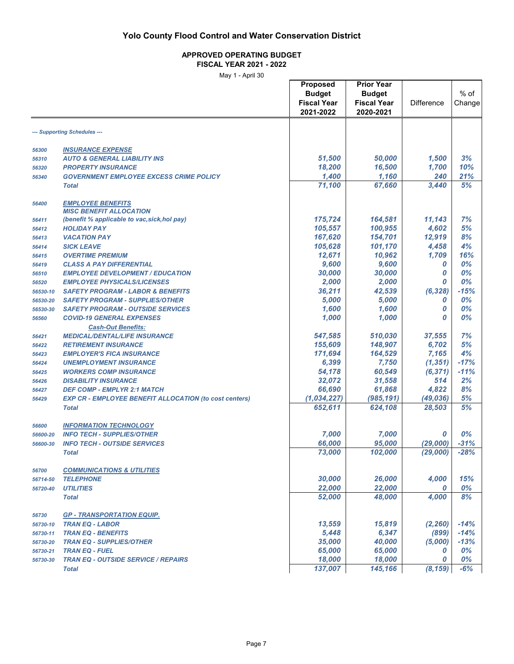#### **APPROVED OPERATING BUDGET FISCAL YEAR 2021 - 2022**

|                      | ividy i - April 30                                            |                    |                    |                      |                  |
|----------------------|---------------------------------------------------------------|--------------------|--------------------|----------------------|------------------|
|                      |                                                               | <b>Proposed</b>    | <b>Prior Year</b>  |                      |                  |
|                      |                                                               | <b>Budget</b>      | <b>Budget</b>      |                      | $%$ of           |
|                      |                                                               | <b>Fiscal Year</b> | <b>Fiscal Year</b> | <b>Difference</b>    | Change           |
|                      |                                                               | 2021-2022          | 2020-2021          |                      |                  |
|                      |                                                               |                    |                    |                      |                  |
|                      | --- Supporting Schedules ---                                  |                    |                    |                      |                  |
|                      |                                                               |                    |                    |                      |                  |
| 56300                | <b>INSURANCE EXPENSE</b>                                      |                    |                    |                      |                  |
| 56310                | <b>AUTO &amp; GENERAL LIABILITY INS</b>                       | 51,500             | 50,000             | 1,500                | 3%               |
| 56320                | <b>PROPERTY INSURANCE</b>                                     | 18,200             | 16,500             | 1,700                | 10%              |
| 56340                | <b>GOVERNMENT EMPLOYEE EXCESS CRIME POLICY</b>                | 1,400              | 1,160              | 240                  | 21%              |
|                      | <b>Total</b>                                                  | 71,100             | 67,660             | 3,440                | 5%               |
| 56400                | <b>EMPLOYEE BENEFITS</b>                                      |                    |                    |                      |                  |
|                      | <b>MISC BENEFIT ALLOCATION</b>                                |                    |                    |                      |                  |
| 56411                | (benefit % applicable to vac, sick, hol pay)                  | 175,724            | 164,581            | 11,143               | 7%               |
| 56412                | <b>HOLIDAY PAY</b>                                            | 105,557            | 100,955            | 4,602                | 5%               |
| 56413                | <b>VACATION PAY</b>                                           | 167,620            | 154,701            | 12,919               | 8%               |
| 56414                | <b>SICK LEAVE</b>                                             | 105,628            | 101,170            | 4,458                | 4%               |
| 56415                | <b>OVERTIME PREMIUM</b>                                       | 12,671             | 10,962             | 1,709                | 16%              |
| 56419                | <b>CLASS A PAY DIFFERENTIAL</b>                               | 9,600              | 9,600              | 0                    | 0%               |
| 56510                | <b>EMPLOYEE DEVELOPMENT / EDUCATION</b>                       | 30,000             | 30,000             | 0                    | 0%               |
| 56520                | <b>EMPLOYEE PHYSICALS/LICENSES</b>                            | 2,000              | 2.000              | 0                    | 0%               |
| 56530-10             | <b>SAFETY PROGRAM - LABOR &amp; BENEFITS</b>                  | 36,211             | 42,539             | (6, 328)             | $-15%$           |
|                      | <b>SAFETY PROGRAM - SUPPLIES/OTHER</b>                        | 5,000              | 5,000              | 0                    | 0%               |
| 56530-20<br>56530-30 | <b>SAFETY PROGRAM - OUTSIDE SERVICES</b>                      | 1,600              | 1,600              | 0                    | 0%               |
|                      |                                                               |                    |                    |                      |                  |
| 56560                | <b>COVID-19 GENERAL EXPENSES</b>                              | 1,000              | 1,000              | 0                    | 0%               |
|                      | <b>Cash-Out Benefits:</b>                                     |                    |                    |                      |                  |
| 56421                | <b>MEDICAL/DENTAL/LIFE INSURANCE</b>                          | 547,585            | 510,030            | 37,555               | 7%               |
| 56422                | <b>RETIREMENT INSURANCE</b>                                   | 155,609            | 148,907            | 6,702                | 5%               |
| 56423                | <b>EMPLOYER'S FICA INSURANCE</b>                              | 171,694            | 164,529            | 7,165                | 4%               |
| 56424                | <b>UNEMPLOYMENT INSURANCE</b>                                 | 6,399              | 7,750              | (1, 351)             | $-17%$           |
| 56425                | <b>WORKERS COMP INSURANCE</b>                                 | 54,178             | 60,549             | (6, 371)             | $-11%$           |
| 56426                | <b>DISABILITY INSURANCE</b>                                   | 32,072             | 31,558             | 514                  | 2%               |
| 56427                | <b>DEF COMP - EMPLYR 2:1 MATCH</b>                            | 66,690             | 61,868             | 4,822                | 8%               |
| 56429                | <b>EXP CR - EMPLOYEE BENEFIT ALLOCATION (to cost centers)</b> | (1,034,227)        | (985, 191)         | (49, 036)            | 5%               |
|                      | <b>Total</b>                                                  | 652,611            | 624,108            | 28,503               | 5%               |
| 56600                | <b>INFORMATION TECHNOLOGY</b>                                 |                    |                    |                      |                  |
|                      | <b>INFO TECH - SUPPLIES/OTHER</b>                             | 7,000              | 7,000              | 0                    | 0%               |
| 56600-20             |                                                               |                    |                    |                      |                  |
| 56600-30             | <b>INFO TECH - OUTSIDE SERVICES</b><br><b>Total</b>           | 66,000<br>73,000   | 95,000<br>102,000  | (29,000)<br>(29,000) | $-31%$<br>$-28%$ |
|                      |                                                               |                    |                    |                      |                  |
| 56700                | <b>COMMUNICATIONS &amp; UTILITIES</b>                         |                    |                    |                      |                  |
| 56714-50             | <b>TELEPHONE</b>                                              | 30,000             | 26,000             | 4,000                | 15%              |
| 56720-40             | <b>UTILITIES</b>                                              | 22,000             | 22,000             | 0                    | 0%               |
|                      | <b>Total</b>                                                  | 52,000             | 48,000             | 4,000                | 8%               |
|                      |                                                               |                    |                    |                      |                  |
| 56730                | <u> GP - TRANSPORTATION EQUIP.</u>                            |                    |                    |                      |                  |
| 56730-10             | <b>TRAN EQ - LABOR</b>                                        | 13,559             | 15,819             | (2, 260)             | $-14%$           |
| 56730-11             | <b>TRAN EQ - BENEFITS</b>                                     | 5,448              | 6,347              | (899)                | $-14%$           |
| 56730-20             | <b>TRAN EQ - SUPPLIES/OTHER</b>                               | 35,000             | 40,000             | (5,000)              | $-13%$           |
| 56730-21             | <b>TRAN EQ - FUEL</b>                                         | 65,000             | 65,000             | 0                    | 0%               |
| 56730-30             | <b>TRAN EQ - OUTSIDE SERVICE / REPAIRS</b>                    | 18,000             | 18,000             | 0                    | 0%               |
|                      | <b>Total</b>                                                  | 137,007            | 145,166            | (8, 159)             | $-6%$            |
|                      |                                                               |                    |                    |                      |                  |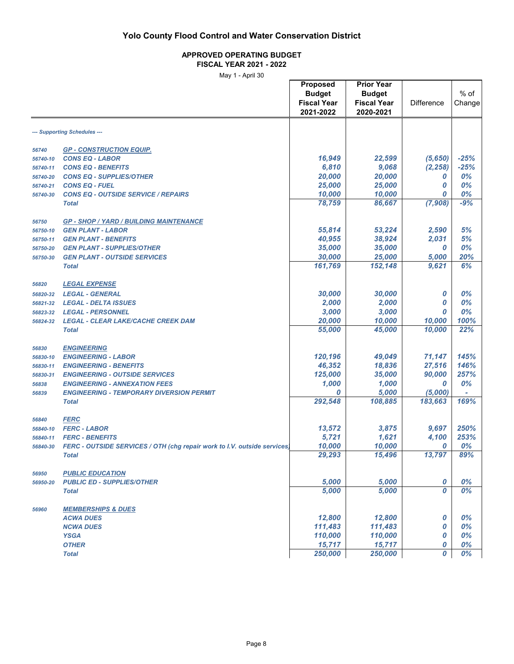#### **APPROVED OPERATING BUDGET FISCAL YEAR 2021 - 2022**

May 1 - April 30

|          | ividy i - April 30                                                       |                    |                    |                   |        |
|----------|--------------------------------------------------------------------------|--------------------|--------------------|-------------------|--------|
|          |                                                                          | Proposed           | <b>Prior Year</b>  |                   |        |
|          |                                                                          | <b>Budget</b>      | <b>Budget</b>      |                   | $%$ of |
|          |                                                                          |                    |                    |                   |        |
|          |                                                                          | <b>Fiscal Year</b> | <b>Fiscal Year</b> | <b>Difference</b> | Change |
|          |                                                                          | 2021-2022          | 2020-2021          |                   |        |
|          |                                                                          |                    |                    |                   |        |
|          | --- Supporting Schedules ---                                             |                    |                    |                   |        |
| 56740    | <b>GP - CONSTRUCTION EQUIP.</b>                                          |                    |                    |                   |        |
| 56740-10 | <b>CONS EQ - LABOR</b>                                                   | 16,949             | 22,599             | (5,650)           | $-25%$ |
| 56740-11 | <b>CONS EQ - BENEFITS</b>                                                | 6,810              | 9,068              | (2, 258)          | $-25%$ |
|          |                                                                          | 20,000             | 20,000             |                   | 0%     |
| 56740-20 | <b>CONS EQ - SUPPLIES/OTHER</b>                                          |                    |                    | 0                 |        |
| 56740-21 | <b>CONS EQ - FUEL</b>                                                    | 25,000             | 25,000             | 0                 | 0%     |
| 56740-30 | <b>CONS EQ - OUTSIDE SERVICE / REPAIRS</b>                               | 10,000             | 10,000             | 0                 | 0%     |
|          | <b>Total</b>                                                             | 78,759             | 86,667             | (7,908)           | $-9%$  |
| 56750    | <b>GP - SHOP / YARD / BUILDING MAINTENANCE</b>                           |                    |                    |                   |        |
| 56750-10 | <b>GEN PLANT - LABOR</b>                                                 | 55,814             | 53,224             | 2,590             | 5%     |
| 56750-11 | <b>GEN PLANT - BENEFITS</b>                                              | 40,955             | 38,924             | 2,031             | 5%     |
|          |                                                                          |                    |                    |                   | 0%     |
| 56750-20 | <b>GEN PLANT - SUPPLIES/OTHER</b>                                        | 35,000             | 35,000             | 0                 |        |
| 56750-30 | <b>GEN PLANT - OUTSIDE SERVICES</b>                                      | 30,000             | 25,000             | 5,000             | 20%    |
|          | <b>Total</b>                                                             | 161,769            | 152,148            | 9,621             | 6%     |
| 56820    | <b>LEGAL EXPENSE</b>                                                     |                    |                    |                   |        |
| 56820-32 | <b>LEGAL - GENERAL</b>                                                   | 30,000             | 30,000             | 0                 | 0%     |
| 56821-32 | <b>LEGAL - DELTA ISSUES</b>                                              | 2,000              | 2,000              | 0                 | 0%     |
|          |                                                                          | 3,000              | 3,000              | 0                 | 0%     |
| 56823-32 | <b>LEGAL - PERSONNEL</b>                                                 |                    |                    |                   |        |
| 56824-32 | <b>LEGAL - CLEAR LAKE/CACHE CREEK DAM</b>                                | 20,000             | 10,000             | 10,000            | 100%   |
|          | <b>Total</b>                                                             | 55,000             | 45,000             | 10,000            | 22%    |
| 56830    | <b>ENGINEERING</b>                                                       |                    |                    |                   |        |
| 56830-10 | <b>ENGINEERING - LABOR</b>                                               | 120,196            | 49,049             | 71,147            | 145%   |
| 56830-11 | <b>ENGINEERING - BENEFITS</b>                                            | 46,352             | 18,836             | 27,516            | 146%   |
| 56830-31 | <b>ENGINEERING - OUTSIDE SERVICES</b>                                    | 125,000            | 35,000             | 90,000            | 257%   |
| 56838    | <b>ENGINEERING - ANNEXATION FEES</b>                                     | 1,000              | 1,000              | 0                 | 0%     |
|          |                                                                          | 0                  | 5,000              | (5,000)           |        |
| 56839    | <b>ENGINEERING - TEMPORARY DIVERSION PERMIT</b>                          |                    |                    |                   | 169%   |
|          | <b>Total</b>                                                             | 292,548            | 108,885            | 183,663           |        |
| 56840    | <b>FERC</b>                                                              |                    |                    |                   |        |
| 56840-10 | <b>FERC - LABOR</b>                                                      | 13,572             | 3,875              | 9,697             | 250%   |
| 56840-11 | <b>FERC - BENEFITS</b>                                                   | 5,721              | 1,621              | 4,100             | 253%   |
| 56840-30 | FERC - OUTSIDE SERVICES / OTH (chg repair work to I.V. outside services) | 10,000             | 10,000             | 0                 | 0%     |
|          | <b>Total</b>                                                             | 29,293             | 15,496             | 13,797            | 89%    |
|          |                                                                          |                    |                    |                   |        |
| 56950    | <b>PUBLIC EDUCATION</b>                                                  |                    |                    |                   |        |
| 56950-20 | <b>PUBLIC ED - SUPPLIES/OTHER</b>                                        | 5,000              | 5,000              | 0                 | 0%     |
|          | <b>Total</b>                                                             | 5,000              | 5,000              | 0                 | 0%     |
| 56960    | <b>MEMBERSHIPS &amp; DUES</b>                                            |                    |                    |                   |        |
|          | <b>ACWA DUES</b>                                                         | 12,800             | 12,800             | 0                 | 0%     |
|          | <b>NCWA DUES</b>                                                         | 111,483            | 111,483            | 0                 | 0%     |
|          |                                                                          |                    |                    |                   |        |
|          | <b>YSGA</b>                                                              | 110,000            | 110,000            | 0                 | 0%     |
|          | <b>OTHER</b>                                                             | 15,717             | 15,717             | 0                 | 0%     |
|          | <b>Total</b>                                                             | 250,000            | 250,000            | 0                 | 0%     |